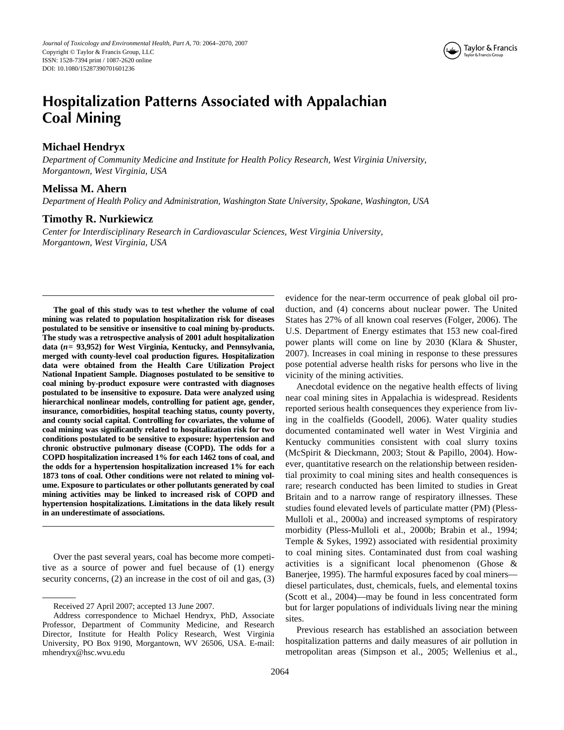*Journal of Toxicology and Environmental Health, Part A*, 70: 2064–2070, 2007 Copyright © Taylor & Francis Group, LLC ISSN: 1528-7394 print / 1087-2620 online DOI: 10.1080/15287390701601236



# **Hospitalization Patterns Associated with Appalachian Coal Mining**

# **Michael Hendryx**

*Department of Community Medicine and Institute for Health Policy Research, West Virginia University, Morgantown, West Virginia, USA*

# **Melissa M. Ahern**

*Department of Health Policy and Administration, Washington State University, Spokane, Washington, USA*

## **Timothy R. Nurkiewicz**

*Center for Interdisciplinary Research in Cardiovascular Sciences, West Virginia University, Morgantown, West Virginia, USA*

**The goal of this study was to test whether the volume of coal mining was related to population hospitalization risk for diseases postulated to be sensitive or insensitive to coal mining by-products. The study was a retrospective analysis of 2001 adult hospitalization data (***n***= 93,952) for West Virginia, Kentucky, and Pennsylvania, merged with county-level coal production figures. Hospitalization data were obtained from the Health Care Utilization Project National Inpatient Sample. Diagnoses postulated to be sensitive to coal mining by-product exposure were contrasted with diagnoses postulated to be insensitive to exposure. Data were analyzed using hierarchical nonlinear models, controlling for patient age, gender, insurance, comorbidities, hospital teaching status, county poverty, and county social capital. Controlling for covariates, the volume of coal mining was significantly related to hospitalization risk for two conditions postulated to be sensitive to exposure: hypertension and chronic obstructive pulmonary disease (COPD). The odds for a COPD hospitalization increased 1% for each 1462 tons of coal, and the odds for a hypertension hospitalization increased 1% for each 1873 tons of coal. Other conditions were not related to mining volume. Exposure to particulates or other pollutants generated by coal mining activities may be linked to increased risk of COPD and hypertension hospitalizations. Limitations in the data likely result in an underestimate of associations.**

Over the past several years, coal has become more competitive as a source of power and fuel because of (1) energy security concerns, (2) an increase in the cost of oil and gas, (3) evidence for the near-term occurrence of peak global oil production, and (4) concerns about nuclear power. The United States has 27% of all known coal reserves (Folger, 2006). The U.S. Department of Energy estimates that 153 new coal-fired power plants will come on line by 2030 (Klara & Shuster, 2007). Increases in coal mining in response to these pressures pose potential adverse health risks for persons who live in the vicinity of the mining activities.

Anecdotal evidence on the negative health effects of living near coal mining sites in Appalachia is widespread. Residents reported serious health consequences they experience from living in the coalfields (Goodell, 2006). Water quality studies documented contaminated well water in West Virginia and Kentucky communities consistent with coal slurry toxins (McSpirit & Dieckmann, 2003; Stout & Papillo, 2004). However, quantitative research on the relationship between residential proximity to coal mining sites and health consequences is rare; research conducted has been limited to studies in Great Britain and to a narrow range of respiratory illnesses. These studies found elevated levels of particulate matter (PM) (Pless-Mulloli et al., 2000a) and increased symptoms of respiratory morbidity (Pless-Mulloli et al., 2000b; Brabin et al., 1994; Temple & Sykes, 1992) associated with residential proximity to coal mining sites. Contaminated dust from coal washing activities is a significant local phenomenon (Ghose & Banerjee, 1995). The harmful exposures faced by coal miners diesel particulates, dust, chemicals, fuels, and elemental toxins (Scott et al., 2004)—may be found in less concentrated form but for larger populations of individuals living near the mining sites.

Previous research has established an association between hospitalization patterns and daily measures of air pollution in metropolitan areas (Simpson et al., 2005; Wellenius et al.,

Received 27 April 2007; accepted 13 June 2007.

Address correspondence to Michael Hendryx, PhD, Associate Professor, Department of Community Medicine, and Research Director, Institute for Health Policy Research, West Virginia University, PO Box 9190, Morgantown, WV 26506, USA. E-mail: mhendryx@hsc.wvu.edu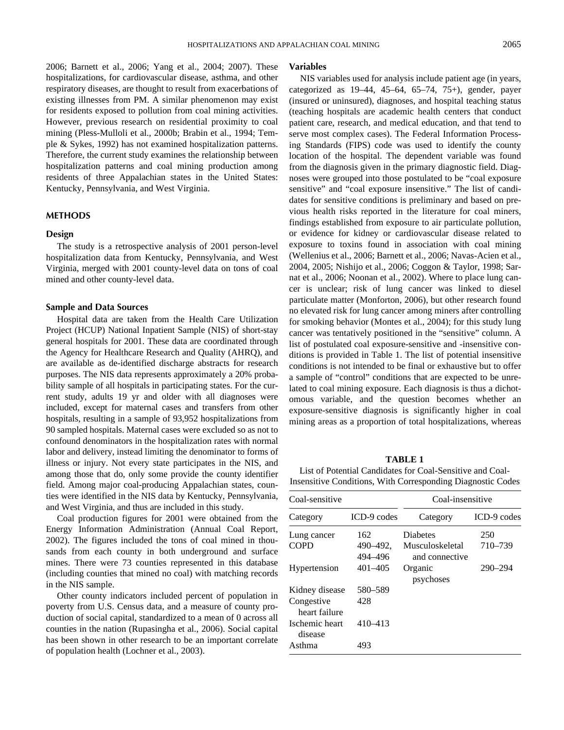2006; Barnett et al., 2006; Yang et al., 2004; 2007). These hospitalizations, for cardiovascular disease, asthma, and other respiratory diseases, are thought to result from exacerbations of existing illnesses from PM. A similar phenomenon may exist for residents exposed to pollution from coal mining activities. However, previous research on residential proximity to coal mining (Pless-Mulloli et al., 2000b; Brabin et al., 1994; Temple & Sykes, 1992) has not examined hospitalization patterns. Therefore, the current study examines the relationship between hospitalization patterns and coal mining production among residents of three Appalachian states in the United States: Kentucky, Pennsylvania, and West Virginia.

#### **METHODS**

#### **Design**

The study is a retrospective analysis of 2001 person-level hospitalization data from Kentucky, Pennsylvania, and West Virginia, merged with 2001 county-level data on tons of coal mined and other county-level data.

#### **Sample and Data Sources**

Hospital data are taken from the Health Care Utilization Project (HCUP) National Inpatient Sample (NIS) of short-stay general hospitals for 2001. These data are coordinated through the Agency for Healthcare Research and Quality (AHRQ), and are available as de-identified discharge abstracts for research purposes. The NIS data represents approximately a 20% probability sample of all hospitals in participating states. For the current study, adults 19 yr and older with all diagnoses were included, except for maternal cases and transfers from other hospitals, resulting in a sample of 93,952 hospitalizations from 90 sampled hospitals. Maternal cases were excluded so as not to confound denominators in the hospitalization rates with normal labor and delivery, instead limiting the denominator to forms of illness or injury. Not every state participates in the NIS, and among those that do, only some provide the county identifier field. Among major coal-producing Appalachian states, counties were identified in the NIS data by Kentucky, Pennsylvania, and West Virginia, and thus are included in this study.

Coal production figures for 2001 were obtained from the Energy Information Administration (Annual Coal Report, 2002). The figures included the tons of coal mined in thousands from each county in both underground and surface mines. There were 73 counties represented in this database (including counties that mined no coal) with matching records in the NIS sample.

Other county indicators included percent of population in poverty from U.S. Census data, and a measure of county production of social capital, standardized to a mean of 0 across all counties in the nation (Rupasingha et al., 2006). Social capital has been shown in other research to be an important correlate of population health (Lochner et al., 2003).

#### **Variables**

NIS variables used for analysis include patient age (in years, categorized as 19–44, 45–64, 65–74, 75+), gender, payer (insured or uninsured), diagnoses, and hospital teaching status (teaching hospitals are academic health centers that conduct patient care, research, and medical education, and that tend to serve most complex cases). The Federal Information Processing Standards (FIPS) code was used to identify the county location of the hospital. The dependent variable was found from the diagnosis given in the primary diagnostic field. Diagnoses were grouped into those postulated to be "coal exposure sensitive" and "coal exposure insensitive." The list of candidates for sensitive conditions is preliminary and based on previous health risks reported in the literature for coal miners, findings established from exposure to air particulate pollution, or evidence for kidney or cardiovascular disease related to exposure to toxins found in association with coal mining (Wellenius et al., 2006; Barnett et al., 2006; Navas-Acien et al., 2004, 2005; Nishijo et al., 2006; Coggon & Taylor, 1998; Sarnat et al., 2006; Noonan et al., 2002). Where to place lung cancer is unclear; risk of lung cancer was linked to diesel particulate matter (Monforton, 2006), but other research found no elevated risk for lung cancer among miners after controlling for smoking behavior (Montes et al., 2004); for this study lung cancer was tentatively positioned in the "sensitive" column. A list of postulated coal exposure-sensitive and -insensitive conditions is provided in Table 1. The list of potential insensitive conditions is not intended to be final or exhaustive but to offer a sample of "control" conditions that are expected to be unrelated to coal mining exposure. Each diagnosis is thus a dichotomous variable, and the question becomes whether an exposure-sensitive diagnosis is significantly higher in coal mining areas as a proportion of total hospitalizations, whereas

#### **TABLE 1**

List of Potential Candidates for Coal-Sensitive and Coal-Insensitive Conditions, With Corresponding Diagnostic Codes

| Coal-sensitive              |                            | Coal-insensitive                                     |                |  |
|-----------------------------|----------------------------|------------------------------------------------------|----------------|--|
| Category                    | ICD-9 codes                | Category                                             | ICD-9 codes    |  |
| Lung cancer<br><b>COPD</b>  | 162<br>490-492,<br>494–496 | <b>Diabetes</b><br>Musculoskeletal<br>and connective | 250<br>710-739 |  |
| Hypertension                | $401 - 405$                | Organic<br>psychoses                                 | $290 - 294$    |  |
| Kidney disease              | 580-589                    |                                                      |                |  |
| Congestive<br>heart failure | 428                        |                                                      |                |  |
| Ischemic heart<br>disease   | 410-413                    |                                                      |                |  |
| Asthma                      | 493                        |                                                      |                |  |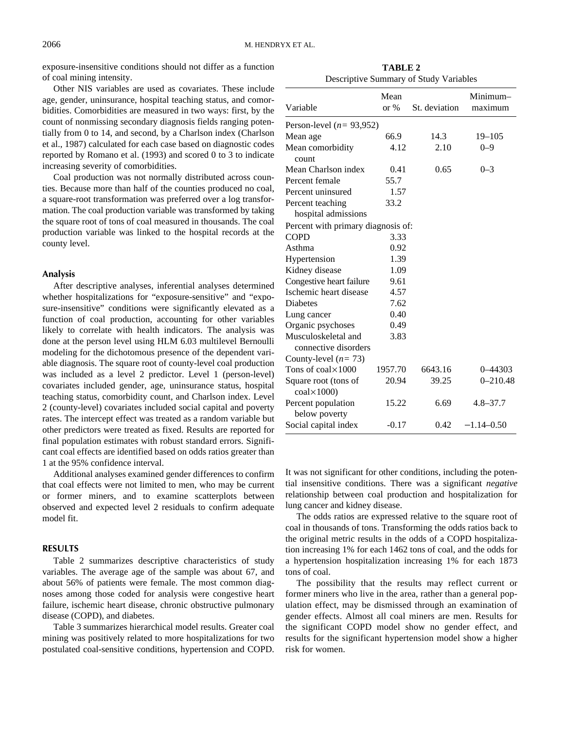exposure-insensitive conditions should not differ as a function of coal mining intensity.

Other NIS variables are used as covariates. These include age, gender, uninsurance, hospital teaching status, and comorbidities. Comorbidities are measured in two ways: first, by the count of nonmissing secondary diagnosis fields ranging potentially from 0 to 14, and second, by a Charlson index (Charlson et al., 1987) calculated for each case based on diagnostic codes reported by Romano et al. (1993) and scored 0 to 3 to indicate increasing severity of comorbidities.

Coal production was not normally distributed across counties. Because more than half of the counties produced no coal, a square-root transformation was preferred over a log transformation. The coal production variable was transformed by taking the square root of tons of coal measured in thousands. The coal production variable was linked to the hospital records at the county level.

#### **Analysis**

After descriptive analyses, inferential analyses determined whether hospitalizations for "exposure-sensitive" and "exposure-insensitive" conditions were significantly elevated as a function of coal production, accounting for other variables likely to correlate with health indicators. The analysis was done at the person level using HLM 6.03 multilevel Bernoulli modeling for the dichotomous presence of the dependent variable diagnosis. The square root of county-level coal production was included as a level 2 predictor. Level 1 (person-level) covariates included gender, age, uninsurance status, hospital teaching status, comorbidity count, and Charlson index. Level 2 (county-level) covariates included social capital and poverty rates. The intercept effect was treated as a random variable but other predictors were treated as fixed. Results are reported for final population estimates with robust standard errors. Significant coal effects are identified based on odds ratios greater than 1 at the 95% confidence interval.

Additional analyses examined gender differences to confirm that coal effects were not limited to men, who may be current or former miners, and to examine scatterplots between observed and expected level 2 residuals to confirm adequate model fit.

# **RESULTS**

Table 2 summarizes descriptive characteristics of study variables. The average age of the sample was about 67, and about 56% of patients were female. The most common diagnoses among those coded for analysis were congestive heart failure, ischemic heart disease, chronic obstructive pulmonary disease (COPD), and diabetes.

Table 3 summarizes hierarchical model results. Greater coal mining was positively related to more hospitalizations for two postulated coal-sensitive conditions, hypertension and COPD.

**TABLE 2**  Descriptive Summary of Study Variables

|                                                   | Mean    |               | $Minimum-$     |
|---------------------------------------------------|---------|---------------|----------------|
| Variable                                          | or $%$  | St. deviation | maximum        |
| Person-level ( $n = 93,952$ )                     |         |               |                |
| Mean age                                          | 66.9    | 14.3          | $19 - 105$     |
| Mean comorbidity<br>count                         | 4.12    | 2.10          | $0 - 9$        |
| Mean Charlson index                               | 0.41    | 0.65          | $0 - 3$        |
| Percent female                                    | 55.7    |               |                |
| Percent uninsured                                 | 1.57    |               |                |
| Percent teaching<br>hospital admissions           | 33.2    |               |                |
| Percent with primary diagnosis of:                |         |               |                |
| <b>COPD</b>                                       | 3.33    |               |                |
| Asthma                                            | 0.92    |               |                |
| Hypertension                                      | 1.39    |               |                |
| Kidney disease                                    | 1.09    |               |                |
| Congestive heart failure                          | 9.61    |               |                |
| Ischemic heart disease                            | 4.57    |               |                |
| <b>Diabetes</b>                                   | 7.62    |               |                |
| Lung cancer                                       | 0.40    |               |                |
| Organic psychoses                                 | 0.49    |               |                |
| Musculoskeletal and<br>connective disorders       | 3.83    |               |                |
| County-level $(n=73)$                             |         |               |                |
| Tons of $\cos 1 \times 1000$                      | 1957.70 | 6643.16       | $0 - 44303$    |
| Square root (tons of<br>$\text{coal}\times1000$ ) | 20.94   | 39.25         | $0 - 210.48$   |
| Percent population<br>below poverty               | 15.22   | 6.69          | $4.8 - 37.7$   |
| Social capital index                              | $-0.17$ | 0.42          | $-1.14 - 0.50$ |

It was not significant for other conditions, including the potential insensitive conditions. There was a significant *negative* relationship between coal production and hospitalization for lung cancer and kidney disease.

The odds ratios are expressed relative to the square root of coal in thousands of tons. Transforming the odds ratios back to the original metric results in the odds of a COPD hospitalization increasing 1% for each 1462 tons of coal, and the odds for a hypertension hospitalization increasing 1% for each 1873 tons of coal.

The possibility that the results may reflect current or former miners who live in the area, rather than a general population effect, may be dismissed through an examination of gender effects. Almost all coal miners are men. Results for the significant COPD model show no gender effect, and results for the significant hypertension model show a higher risk for women.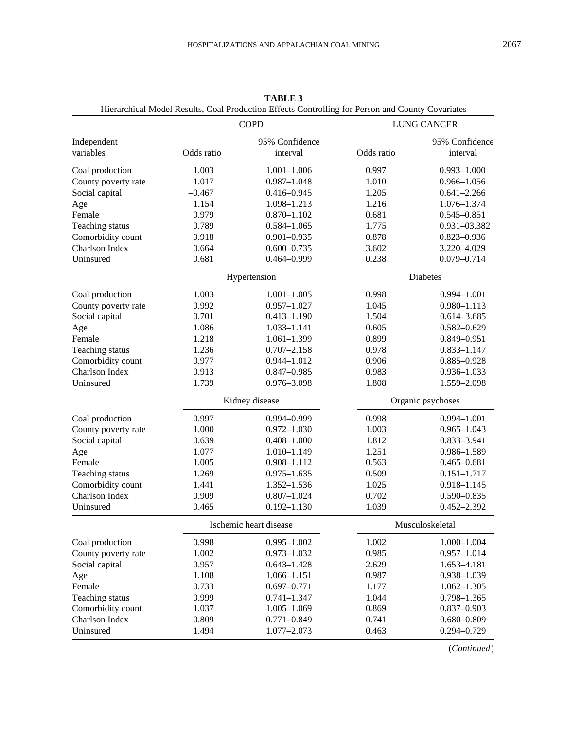|                          | Therafthical Model Results, Coal Froduction Effects Controlling for Ferson and County Covariates<br><b>COPD</b> |                            | <b>LUNG CANCER</b> |                            |
|--------------------------|-----------------------------------------------------------------------------------------------------------------|----------------------------|--------------------|----------------------------|
| Independent<br>variables | Odds ratio                                                                                                      | 95% Confidence<br>interval | Odds ratio         | 95% Confidence<br>interval |
| Coal production          | 1.003                                                                                                           | $1.001 - 1.006$            | 0.997              | $0.993 - 1.000$            |
| County poverty rate      | 1.017                                                                                                           | $0.987 - 1.048$            | 1.010              | $0.966 - 1.056$            |
| Social capital           | $-0.467$                                                                                                        | $0.416 - 0.945$            | 1.205              | $0.641 - 2.266$            |
| Age                      | 1.154                                                                                                           | 1.098-1.213                | 1.216              | 1.076-1.374                |
| Female                   | 0.979                                                                                                           | $0.870 - 1.102$            | 0.681              | $0.545 - 0.851$            |
| Teaching status          | 0.789                                                                                                           | $0.584 - 1.065$            | 1.775              | 0.931-03.382               |
| Comorbidity count        | 0.918                                                                                                           | $0.901 - 0.935$            | 0.878              | $0.823 - 0.936$            |
| Charlson Index           | 0.664                                                                                                           | $0.600 - 0.735$            | 3.602              | 3.220-4.029                |
| Uninsured                | 0.681                                                                                                           | $0.464 - 0.999$            | 0.238              | $0.079 - 0.714$            |
|                          | Hypertension                                                                                                    |                            | Diabetes           |                            |
| Coal production          | 1.003                                                                                                           | $1.001 - 1.005$            | 0.998              | $0.994 - 1.001$            |
| County poverty rate      | 0.992                                                                                                           | $0.957 - 1.027$            | 1.045              | $0.980 - 1.113$            |
| Social capital           | 0.701                                                                                                           | $0.413 - 1.190$            | 1.504              | $0.614 - 3.685$            |
| Age                      | 1.086                                                                                                           | 1.033-1.141                | 0.605              | $0.582 - 0.629$            |
| Female                   | 1.218                                                                                                           | $1.061 - 1.399$            | 0.899              | $0.849 - 0.951$            |
| Teaching status          | 1.236                                                                                                           | $0.707 - 2.158$            | 0.978              | $0.833 - 1.147$            |
| Comorbidity count        | 0.977                                                                                                           | $0.944 - 1.012$            | 0.906              | $0.885 - 0.928$            |
| Charlson Index           | 0.913                                                                                                           | $0.847 - 0.985$            | 0.983              | $0.936 - 1.033$            |
| Uninsured                | 1.739                                                                                                           | 0.976-3.098                | 1.808              | 1.559-2.098                |
|                          | Kidney disease                                                                                                  |                            | Organic psychoses  |                            |
| Coal production          | 0.997                                                                                                           | 0.994-0.999                | 0.998              | $0.994 - 1.001$            |
| County poverty rate      | 1.000                                                                                                           | $0.972 - 1.030$            | 1.003              | $0.965 - 1.043$            |
| Social capital           | 0.639                                                                                                           | $0.408 - 1.000$            | 1.812              | $0.833 - 3.941$            |
| Age                      | 1.077                                                                                                           | 1.010-1.149                | 1.251              | 0.986-1.589                |
| Female                   | 1.005                                                                                                           | $0.908 - 1.112$            | 0.563              | $0.465 - 0.681$            |
| Teaching status          | 1.269                                                                                                           | $0.975 - 1.635$            | 0.509              | $0.151 - 1.717$            |
| Comorbidity count        | 1.441                                                                                                           | 1.352-1.536                | 1.025              | $0.918 - 1.145$            |
| Charlson Index           | 0.909                                                                                                           | $0.807 - 1.024$            | 0.702              | $0.590 - 0.835$            |
| Uninsured                | 0.465                                                                                                           | $0.192 - 1.130$            | 1.039              | $0.452 - 2.392$            |
|                          | Ischemic heart disease                                                                                          |                            | Musculoskeletal    |                            |
| Coal production          | 0.998                                                                                                           | $0.995 - 1.002$            | 1.002              | 1.000-1.004                |
| County poverty rate      | 1.002                                                                                                           | $0.973 - 1.032$            | 0.985              | $0.957 - 1.014$            |
| Social capital           | 0.957                                                                                                           | $0.643 - 1.428$            | 2.629              | 1.653-4.181                |
| Age                      | 1.108                                                                                                           | 1.066-1.151                | 0.987              | 0.938-1.039                |
| Female                   | 0.733                                                                                                           | $0.697 - 0.771$            | 1.177              | $1.062 - 1.305$            |
| Teaching status          | 0.999                                                                                                           | $0.741 - 1.347$            | 1.044              | $0.798 - 1.365$            |
| Comorbidity count        | 1.037                                                                                                           | $1.005 - 1.069$            | 0.869              | $0.837 - 0.903$            |
| Charlson Index           | 0.809                                                                                                           | $0.771 - 0.849$            | 0.741              | $0.680 - 0.809$            |
| Uninsured                | 1.494                                                                                                           | 1.077-2.073                | 0.463              | $0.294 - 0.729$            |

**TABLE 3**  Hierarchical Model Results, Coal Production Effects Controlling for Person and County Covariates

(*Continued*)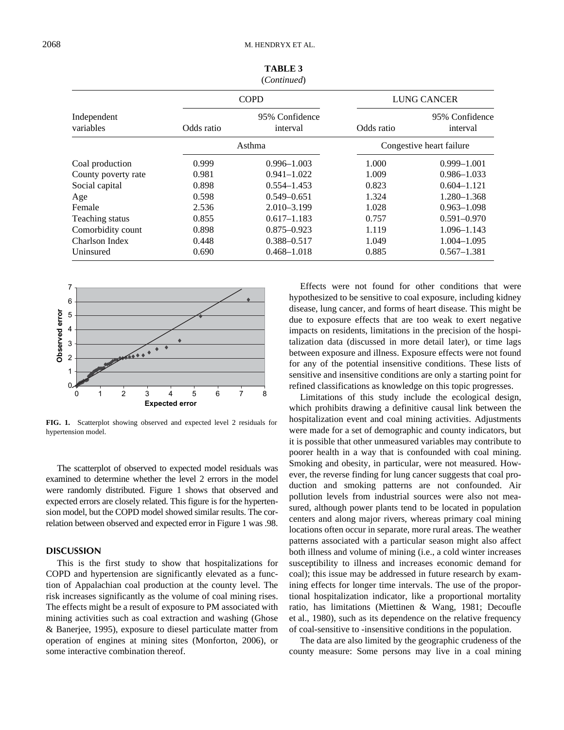|                          | <b>COPD</b> |                            | <b>LUNG CANCER</b> |                            |
|--------------------------|-------------|----------------------------|--------------------|----------------------------|
| Independent<br>variables | Odds ratio  | 95% Confidence<br>interval | Odds ratio         | 95% Confidence<br>interval |
|                          | Asthma      |                            |                    | Congestive heart failure   |
| Coal production          | 0.999       | $0.996 - 1.003$            | 1.000              | $0.999 - 1.001$            |
| County poverty rate      | 0.981       | $0.941 - 1.022$            | 1.009              | $0.986 - 1.033$            |
| Social capital           | 0.898       | $0.554 - 1.453$            | 0.823              | $0.604 - 1.121$            |
| Age                      | 0.598       | $0.549 - 0.651$            | 1.324              | $1.280 - 1.368$            |
| Female                   | 2.536       | $2.010 - 3.199$            | 1.028              | $0.963 - 1.098$            |
| Teaching status          | 0.855       | $0.617 - 1.183$            | 0.757              | $0.591 - 0.970$            |
| Comorbidity count        | 0.898       | $0.875 - 0.923$            | 1.119              | $1.096 - 1.143$            |
| Charlson Index           | 0.448       | $0.388 - 0.517$            | 1.049              | $1.004 - 1.095$            |
| Uninsured                | 0.690       | $0.468 - 1.018$            | 0.885              | $0.567 - 1.381$            |

|  | TABLE 3 |  |
|--|---------|--|
|  |         |  |

(*Continued*)



**FIG. 1.** Scatterplot showing observed and expected level 2 residuals for hypertension model.

The scatterplot of observed to expected model residuals was examined to determine whether the level 2 errors in the model were randomly distributed. Figure 1 shows that observed and expected errors are closely related. This figure is for the hypertension model, but the COPD model showed similar results. The correlation between observed and expected error in Figure 1 was .98.

## **DISCUSSION**

This is the first study to show that hospitalizations for COPD and hypertension are significantly elevated as a function of Appalachian coal production at the county level. The risk increases significantly as the volume of coal mining rises. The effects might be a result of exposure to PM associated with mining activities such as coal extraction and washing (Ghose & Banerjee, 1995), exposure to diesel particulate matter from operation of engines at mining sites (Monforton, 2006), or some interactive combination thereof.

Effects were not found for other conditions that were hypothesized to be sensitive to coal exposure, including kidney disease, lung cancer, and forms of heart disease. This might be due to exposure effects that are too weak to exert negative impacts on residents, limitations in the precision of the hospitalization data (discussed in more detail later), or time lags between exposure and illness. Exposure effects were not found for any of the potential insensitive conditions. These lists of sensitive and insensitive conditions are only a starting point for refined classifications as knowledge on this topic progresses.

Limitations of this study include the ecological design, which prohibits drawing a definitive causal link between the hospitalization event and coal mining activities. Adjustments were made for a set of demographic and county indicators, but it is possible that other unmeasured variables may contribute to poorer health in a way that is confounded with coal mining. Smoking and obesity, in particular, were not measured. However, the reverse finding for lung cancer suggests that coal production and smoking patterns are not confounded. Air pollution levels from industrial sources were also not measured, although power plants tend to be located in population centers and along major rivers, whereas primary coal mining locations often occur in separate, more rural areas. The weather patterns associated with a particular season might also affect both illness and volume of mining (i.e., a cold winter increases susceptibility to illness and increases economic demand for coal); this issue may be addressed in future research by examining effects for longer time intervals. The use of the proportional hospitalization indicator, like a proportional mortality ratio, has limitations (Miettinen & Wang, 1981; Decoufle et al., 1980), such as its dependence on the relative frequency of coal-sensitive to -insensitive conditions in the population.

The data are also limited by the geographic crudeness of the county measure: Some persons may live in a coal mining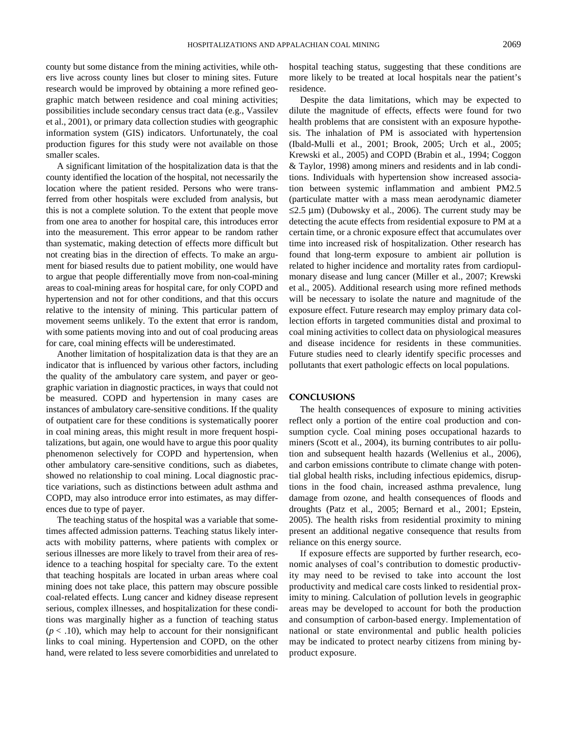county but some distance from the mining activities, while others live across county lines but closer to mining sites. Future research would be improved by obtaining a more refined geographic match between residence and coal mining activities; possibilities include secondary census tract data (e.g., Vassilev et al., 2001), or primary data collection studies with geographic information system (GIS) indicators. Unfortunately, the coal production figures for this study were not available on those smaller scales.

A significant limitation of the hospitalization data is that the county identified the location of the hospital, not necessarily the location where the patient resided. Persons who were transferred from other hospitals were excluded from analysis, but this is not a complete solution. To the extent that people move from one area to another for hospital care, this introduces error into the measurement. This error appear to be random rather than systematic, making detection of effects more difficult but not creating bias in the direction of effects. To make an argument for biased results due to patient mobility, one would have to argue that people differentially move from non-coal-mining areas to coal-mining areas for hospital care, for only COPD and hypertension and not for other conditions, and that this occurs relative to the intensity of mining. This particular pattern of movement seems unlikely. To the extent that error is random, with some patients moving into and out of coal producing areas for care, coal mining effects will be underestimated.

Another limitation of hospitalization data is that they are an indicator that is influenced by various other factors, including the quality of the ambulatory care system, and payer or geographic variation in diagnostic practices, in ways that could not be measured. COPD and hypertension in many cases are instances of ambulatory care-sensitive conditions. If the quality of outpatient care for these conditions is systematically poorer in coal mining areas, this might result in more frequent hospitalizations, but again, one would have to argue this poor quality phenomenon selectively for COPD and hypertension, when other ambulatory care-sensitive conditions, such as diabetes, showed no relationship to coal mining. Local diagnostic practice variations, such as distinctions between adult asthma and COPD, may also introduce error into estimates, as may differences due to type of payer.

The teaching status of the hospital was a variable that sometimes affected admission patterns. Teaching status likely interacts with mobility patterns, where patients with complex or serious illnesses are more likely to travel from their area of residence to a teaching hospital for specialty care. To the extent that teaching hospitals are located in urban areas where coal mining does not take place, this pattern may obscure possible coal-related effects. Lung cancer and kidney disease represent serious, complex illnesses, and hospitalization for these conditions was marginally higher as a function of teaching status  $(p < .10)$ , which may help to account for their nonsignificant links to coal mining. Hypertension and COPD, on the other hand, were related to less severe comorbidities and unrelated to hospital teaching status, suggesting that these conditions are more likely to be treated at local hospitals near the patient's residence.

Despite the data limitations, which may be expected to dilute the magnitude of effects, effects were found for two health problems that are consistent with an exposure hypothesis. The inhalation of PM is associated with hypertension (Ibald-Mulli et al., 2001; Brook, 2005; Urch et al., 2005; Krewski et al., 2005) and COPD (Brabin et al., 1994; Coggon & Taylor, 1998) among miners and residents and in lab conditions. Individuals with hypertension show increased association between systemic inflammation and ambient PM2.5 (particulate matter with a mass mean aerodynamic diameter  $\leq$ 2.5 µm) (Dubowsky et al., 2006). The current study may be detecting the acute effects from residential exposure to PM at a certain time, or a chronic exposure effect that accumulates over time into increased risk of hospitalization. Other research has found that long-term exposure to ambient air pollution is related to higher incidence and mortality rates from cardiopulmonary disease and lung cancer (Miller et al., 2007; Krewski et al., 2005). Additional research using more refined methods will be necessary to isolate the nature and magnitude of the exposure effect. Future research may employ primary data collection efforts in targeted communities distal and proximal to coal mining activities to collect data on physiological measures and disease incidence for residents in these communities. Future studies need to clearly identify specific processes and pollutants that exert pathologic effects on local populations.

#### **CONCLUSIONS**

The health consequences of exposure to mining activities reflect only a portion of the entire coal production and consumption cycle. Coal mining poses occupational hazards to miners (Scott et al., 2004), its burning contributes to air pollution and subsequent health hazards (Wellenius et al., 2006), and carbon emissions contribute to climate change with potential global health risks, including infectious epidemics, disruptions in the food chain, increased asthma prevalence, lung damage from ozone, and health consequences of floods and droughts (Patz et al., 2005; Bernard et al., 2001; Epstein, 2005). The health risks from residential proximity to mining present an additional negative consequence that results from reliance on this energy source.

If exposure effects are supported by further research, economic analyses of coal's contribution to domestic productivity may need to be revised to take into account the lost productivity and medical care costs linked to residential proximity to mining. Calculation of pollution levels in geographic areas may be developed to account for both the production and consumption of carbon-based energy. Implementation of national or state environmental and public health policies may be indicated to protect nearby citizens from mining byproduct exposure.